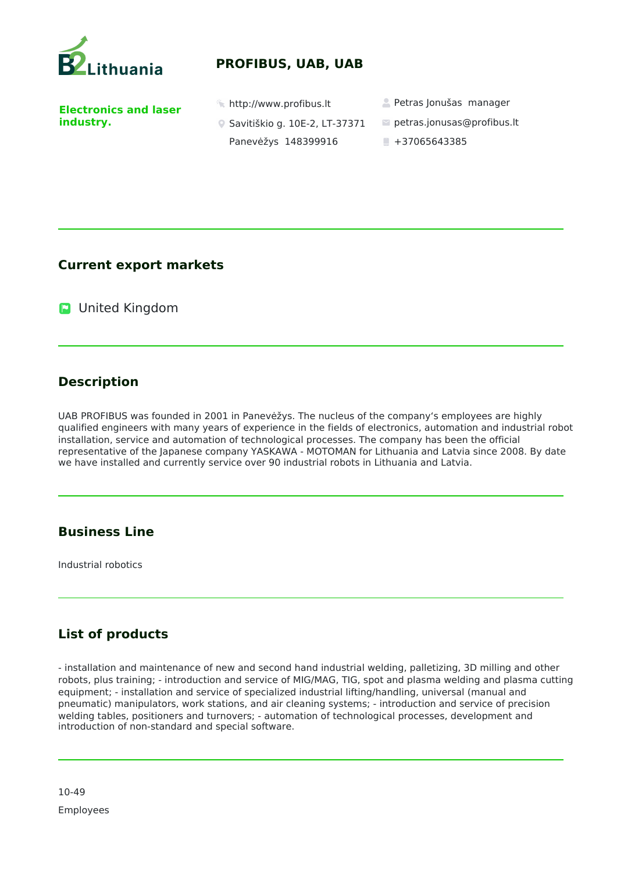

### **PROFIBUS, UAB, UAB**

**Electronics and laser industry.** 

- 
- Savitiškio g. 10E-2, LT-37371 Panevėžys 148399916
- http://www.profibus.lt Petras Jonušas manager
	- petras.jonusas@profibus.lt
	- $+37065643385$

#### **Current export markets**

**D** United Kingdom

### **Description**

UAB PROFIBUS was founded in 2001 in Panevėžys. The nucleus of the company's employees are highly qualified engineers with many years of experience in the fields of electronics, automation and industrial robot installation, service and automation of technological processes. The company has been the official representative of the Japanese company YASKAWA - MOTOMAN for Lithuania and Latvia since 2008. By date we have installed and currently service over 90 industrial robots in Lithuania and Latvia.

# **Business Line**

Industrial robotics

# **List of products**

- installation and maintenance of new and second hand industrial welding, palletizing, 3D milling and other robots, plus training; - introduction and service of MIG/MAG, TIG, spot and plasma welding and plasma cutting equipment; - installation and service of specialized industrial lifting/handling, universal (manual and pneumatic) manipulators, work stations, and air cleaning systems; - introduction and service of precision welding tables, positioners and turnovers; - automation of technological processes, development and introduction of non-standard and special software.